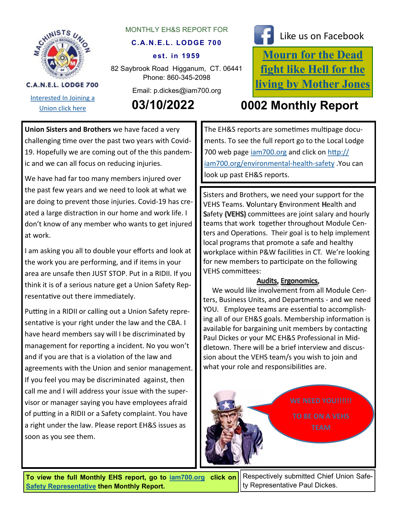

[Interested In Joining a](http://iamawdistrictlodge26.comcastbiz.net/contact-us.shtml) 

C.A.N.E.L. LODGE 700

### MONTHLY EH&S REPORT FOR

### **C.A.N.E.L. LODGE 700**

#### **est. in 1959**

82 Saybrook Road Higganum, CT. 06441 Phone: 860-345-2098

Email: p.dickes@iam700.org



# Like us on Facebook

**[Mourn for the Dead](https://aflcio.org/2017/4/28/mourn-dead-fight-hell-living)  [fight like Hell for the](https://aflcio.org/2017/4/28/mourn-dead-fight-hell-living)  [living by Mother Jones](https://aflcio.org/2017/4/28/mourn-dead-fight-hell-living)**

## [Union click here](http://iamawdistrictlodge26.comcastbiz.net/contact-us.shtml) **03/10/2022 0002 Monthly Report**

**Union Sisters and Brothers** we have faced a very challenging time over the past two years with Covid-19. Hopefully we are coming out of the this pandemic and we can all focus on reducing injuries.

We have had far too many members injured over the past few years and we need to look at what we are doing to prevent those injuries. Covid-19 has created a large distraction in our home and work life. I don't know of any member who wants to get injured at work.

I am asking you all to double your efforts and look at the work you are performing, and if items in your area are unsafe then JUST STOP. Put in a RIDII. If you think it is of a serious nature get a Union Safety Representative out there immediately.

Putting in a RIDII or calling out a Union Safety representative is your right under the law and the CBA. I have heard members say will I be discriminated by management for reporting a incident. No you won't and if you are that is a violation of the law and agreements with the Union and senior management. If you feel you may be discriminated against, then call me and I will address your issue with the supervisor or manager saying you have employees afraid of putting in a RIDII or a Safety complaint. You have a right under the law. Please report EH&S issues as soon as you see them.

The EH&S reports are sometimes multipage documents. To see the full report go to the Local Lodge 700 web page [iam700.org](http://iam700.org/) and click on [http://](file:///H:/Monthly EHS report/Monthly Report 02-13-22.pub) [iam700.org/environmental](file:///H:/Monthly EHS report/Monthly Report 02-13-22.pub)-health-safety .You can look up past EH&S reports.

Sisters and Brothers, we need your support for the VEHS Teams. Voluntary Environment Health and Safety (VEHS) committees are joint salary and hourly teams that work together throughout Module Centers and Operations. Their goal is to help implement local programs that promote a safe and healthy workplace within P&W facilities in CT. We're looking for new members to participate on the following VEHS committees:

### Audits, Ergonomics,

 We would like involvement from all Module Centers, Business Units, and Departments - and we need YOU. Employee teams are essential to accomplishing all of our EH&S goals. Membership information is available for bargaining unit members by contacting Paul Dickes or your MC EH&S Professional in Middletown. There will be a brief interview and discussion about the VEHS team/s you wish to join and what your role and responsibilities are.



**To view the full Monthly EHS report, go to [iam700.org](http://iam700.org/) click on [Safety Representative](http://iam700.org/eh&s_page.htm) then Monthly Report.** 

Respectively submitted Chief Union Safety Representative Paul Dickes.